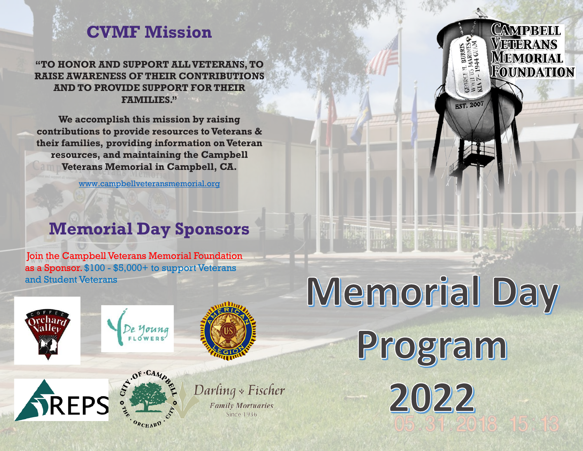## **CVMF Mission**

**"TO HONOR AND SUPPORT ALL VETERANS, TO RAISE AWARENESS OF THEIR CONTRIBUTIONS AND TO PROVIDE SUPPORT FOR THEIR FAMILIES."**

**We accomplish this mission by raising contributions to provide resources to Veterans & their families, providing information on Veteran resources, and maintaining the Campbell Veterans Memorial in Campbell, CA.**

www.campbellveteransmemorial.org

## **Memorial Day Sponsors**

Join the Campbell Veterans Memorial Foundation as a Sponsor. \$100 - \$5,000+ to support Veterans and Student Veterans





Memorial Day

Program

2022